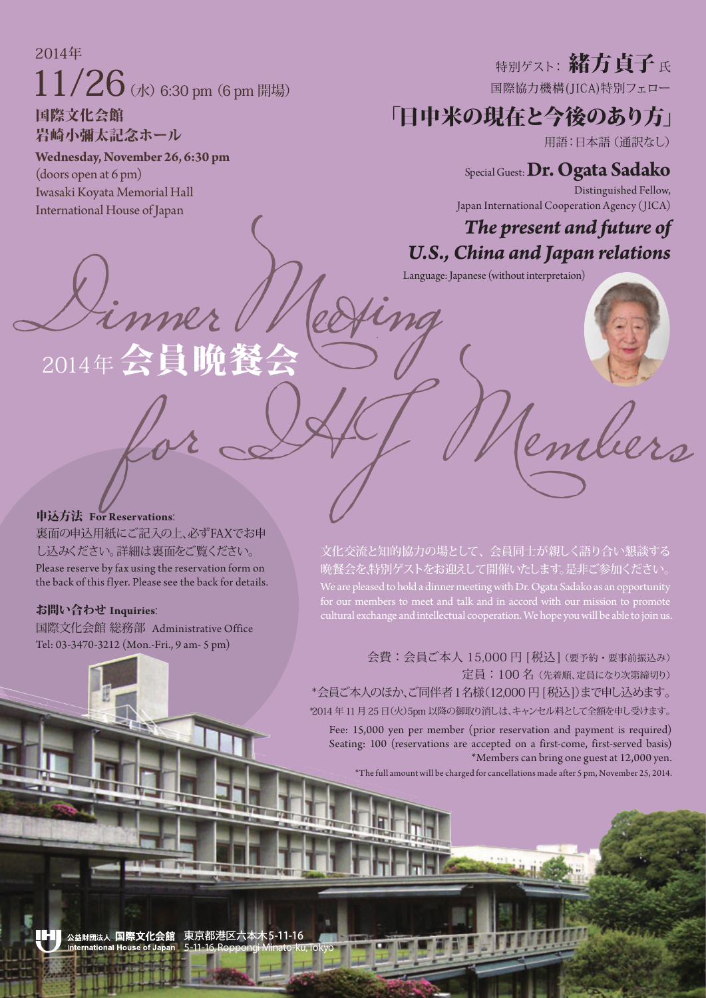2014年  $11/26$  (水) 6:30 pm (6 pm 開場)

国際文化会館 岩崎小彌太記念ホール

#### **Wednesday, November 26, 6:30 pm**

(doors open at 6 pm) Iwasaki Koyata Memorial Hall International House of Japan

# 特別ゲスト: 緒方貞子氏

国際協力機構(JICA)特別フェロー

### 「日中米の現在と今後のあり方」

用語:日本語(通訳なし)

### Special Guest:**Dr. Ogata Sadako**

Distinguished Fellow, Japan International Cooperation Agency (JICA)

### *The present and future of U.S., China and Japan relations*

# $\mathcal{L}_{inner}$   $\mathcal{L}_{inner}$   $\mathcal{L}_{inner}$  (without interpretaion) for IHJ Members  $2014 年会$

申込方法 **For Reservations**:

裏面の申込用紙にご記入の上、必ずFAXでお申 し込みください。詳細は裏面をご覧ください。 Please reserve by fax using the reservation form on the back of this flyer. Please see the back for details.

### お問い合わせ **Inquiries**:

国際文化会館 総務部 Administrative Office Tel: 03-3470-3212 (Mon.-Fri., 9 am- 5 pm)

文化交流と知的協力の場として、会員同士が親しく語り合い懇談する 晩餐会を、特別ゲストをお迎えして開催いたします。是非ご参加ください。 We are pleased to hold a dinner meeting with Dr. Ogata Sadako as an opportunity cultural exchange and intellectual cooperation. We hope you will be able to join us.

会費:会員ご本人 15,000円 「税込」(要予約・要事前振込み) 定員:100 名(先着順、定員になり次第締切り) \*会員ご本人のほか、ご同伴者1名様(12,000 円 [税込])まで申し込めます。 \*2014 年11 月25 日(火)5pm 以降の御取り消しは、キャンセル料として全額を申し受けます。

Fee: 15,000 yen per member (prior reservation and payment is required) Seating: 100 (reservations are accepted on a first-come, first-served basis) \*Members can bring one guest at 12,000 yen.

\*The full amount will be charged for cancellations made after 5 pm, November 25, 2014.

 $: 5 - 11 - 16$ 公益財団法人 国際文化会館 5-11-16,Roppongi Minato-ku, Tokyo